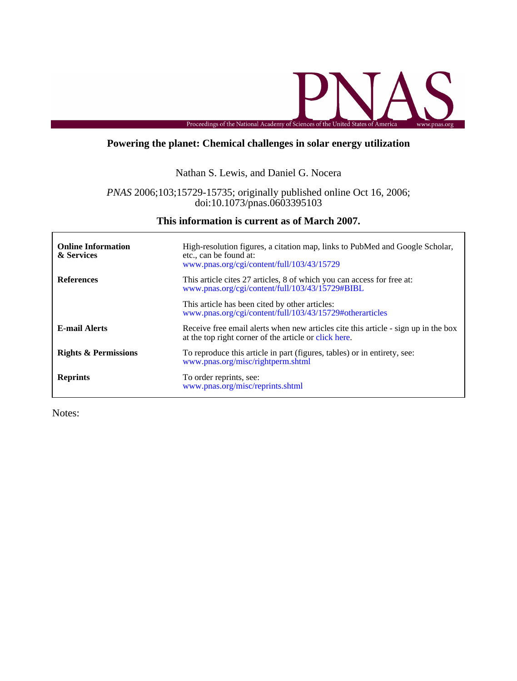

# **Powering the planet: Chemical challenges in solar energy utilization**

# Nathan S. Lewis, and Daniel G. Nocera

# doi:10.1073/pnas.0603395103 *PNAS* 2006;103;15729-15735; originally published online Oct 16, 2006;

# **This information is current as of March 2007.**

| <b>Online Information</b><br>& Services | High-resolution figures, a citation map, links to PubMed and Google Scholar,<br>etc., can be found at:<br>www.pnas.org/cgi/content/full/103/43/15729 |  |  |
|-----------------------------------------|------------------------------------------------------------------------------------------------------------------------------------------------------|--|--|
| <b>References</b>                       | This article cites 27 articles, 8 of which you can access for free at:<br>www.pnas.org/cgi/content/full/103/43/15729#BIBL                            |  |  |
|                                         | This article has been cited by other articles:<br>www.pnas.org/cgi/content/full/103/43/15729#otherarticles                                           |  |  |
| <b>E-mail Alerts</b>                    | Receive free email alerts when new articles cite this article - sign up in the box<br>at the top right corner of the article or click here.          |  |  |
| <b>Rights &amp; Permissions</b>         | To reproduce this article in part (figures, tables) or in entirety, see:<br>www.pnas.org/misc/rightperm.shtml                                        |  |  |
| <b>Reprints</b>                         | To order reprints, see:<br>www.pnas.org/misc/reprints.shtml                                                                                          |  |  |

Notes:

r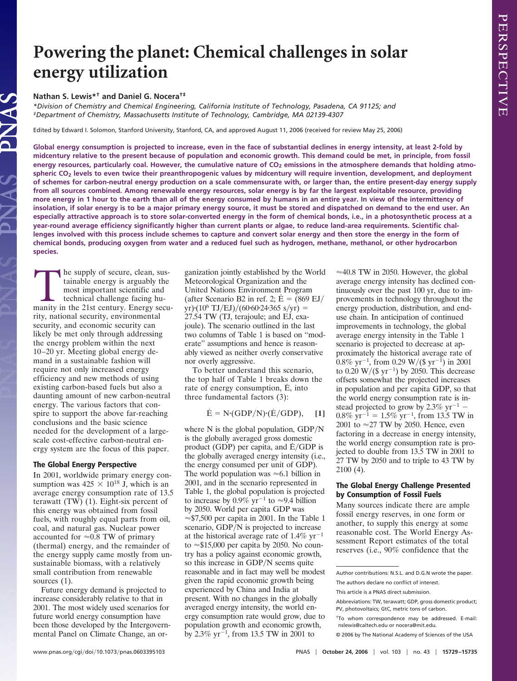# **Powering the planet: Chemical challenges in solar energy utilization**

# **Nathan S. Lewis\*† and Daniel G. Nocera†‡**

*\*Division of Chemistry and Chemical Engineering, California Institute of Technology, Pasadena, CA 91125; and ‡Department of Chemistry, Massachusetts Institute of Technology, Cambridge, MA 02139-4307*

Edited by Edward I. Solomon, Stanford University, Stanford, CA, and approved August 11, 2006 (received for review May 25, 2006)

**Global energy consumption is projected to increase, even in the face of substantial declines in energy intensity, at least 2-fold by midcentury relative to the present because of population and economic growth. This demand could be met, in principle, from fossil** energy resources, particularly coal. However, the cumulative nature of CO<sub>2</sub> emissions in the atmosphere demands that holding atmo**spheric CO2 levels to even twice their preanthropogenic values by midcentury will require invention, development, and deployment of schemes for carbon-neutral energy production on a scale commensurate with, or larger than, the entire present-day energy supply from all sources combined. Among renewable energy resources, solar energy is by far the largest exploitable resource, providing more energy in 1 hour to the earth than all of the energy consumed by humans in an entire year. In view of the intermittency of insolation, if solar energy is to be a major primary energy source, it must be stored and dispatched on demand to the end user. An especially attractive approach is to store solar-converted energy in the form of chemical bonds, i.e., in a photosynthetic process at a year-round average efficiency significantly higher than current plants or algae, to reduce land-area requirements. Scientific challenges involved with this process include schemes to capture and convert solar energy and then store the energy in the form of chemical bonds, producing oxygen from water and a reduced fuel such as hydrogen, methane, methanol, or other hydrocarbon species.**

The supply of secure, clean, sustainable energy is arguably the most important scientific and technical challenge facing humanity in the 21st century. Energy secutainable energy is arguably the most important scientific and technical challenge facing hurity, national security, environmental security, and economic security can likely be met only through addressing the energy problem within the next 10–20 yr. Meeting global energy demand in a sustainable fashion will require not only increased energy efficiency and new methods of using existing carbon-based fuels but also a daunting amount of new carbon-neutral energy. The various factors that conspire to support the above far-reaching conclusions and the basic science needed for the development of a largescale cost-effective carbon-neutral energy system are the focus of this paper.

## **The Global Energy Perspective**

In 2001, worldwide primary energy consumption was  $425 \times 10^{18}$  J, which is an average energy consumption rate of 13.5 terawatt (TW) (1). Eight-six percent of this energy was obtained from fossil fuels, with roughly equal parts from oil, coal, and natural gas. Nuclear power accounted for  $\approx 0.8$  TW of primary (thermal) energy, and the remainder of the energy supply came mostly from unsustainable biomass, with a relatively small contribution from renewable sources  $(1)$ .

Future energy demand is projected to increase considerably relative to that in 2001. The most widely used scenarios for future world energy consumption have been those developed by the Intergovernmental Panel on Climate Change, an organization jointly established by the World Meteorological Organization and the United Nations Environment Program (after Scenario B2 in ref. 2;  $\dot{E} = (869 \text{ EJ})$ )  $yr)(10^6 \text{ TJ/EJ})/(60.60.24.365 \text{ s/yr}) =$ 27.54 TW (TJ, terajoule; and EJ, exajoule). The scenario outlined in the last two columns of Table 1 is based on ''moderate'' assumptions and hence is reasonably viewed as neither overly conservative nor overly aggressive.

To better understand this scenario, the top half of Table 1 breaks down the rate of energy consumption,  $\dot{E}$ , into three fundamental factors (3):

 $\dot{E} = N \cdot (GDP/N) \cdot (\dot{E}/GDP),$  [1]

where  $N$  is the global population,  $GDP/N$ is the globally averaged gross domestic product (GDP) per capita, and  $E/GDP$  is the globally averaged energy intensity (i.e., the energy consumed per unit of GDP). The world population was  $\approx 6.1$  billion in 2001, and in the scenario represented in Table 1, the global population is projected to increase by  $0.9\%$  yr<sup>-1</sup> to  $\approx$  9.4 billion by 2050. World per capita GDP was  $\approx$ \$7,500 per capita in 2001. In the Table 1 scenario, GDP/N is projected to increase at the historical average rate of  $1.4\% \text{ yr}^{-1}$ to  $\approx$ \$15,000 per capita by 2050. No country has a policy against economic growth, so this increase in GDP/N seems quite reasonable and in fact may well be modest given the rapid economic growth being experienced by China and India at present. With no changes in the globally averaged energy intensity, the world energy consumption rate would grow, due to population growth and economic growth, by 2.3%  $yr^{-1}$ , from 13.5 TW in 2001 to

 $\approx$  40.8 TW in 2050. However, the global average energy intensity has declined continuously over the past 100 yr, due to improvements in technology throughout the energy production, distribution, and enduse chain. In anticipation of continued improvements in technology, the global average energy intensity in the Table 1 scenario is projected to decrease at approximately the historical average rate of  $0.8\% \text{ yr}^{-1}$ , from 0.29 W/(\$ yr<sup>-1</sup>) in 2001 to  $0.20 \text{ W}/(\$ \text{ yr}^{-1})$  by 2050. This decrease offsets somewhat the projected increases in population and per capita GDP, so that the world energy consumption rate is instead projected to grow by 2.3%  $yr^{-1}$  –  $0.8\% \text{ yr}^{-1} = 1.5\% \text{ yr}^{-1}$ , from 13.5 TW in 2001 to  $\approx$  27 TW by 2050. Hence, even factoring in a decrease in energy intensity, the world energy consumption rate is projected to double from 13.5 TW in 2001 to 27 TW by 2050 and to triple to 43 TW by 2100 (4).

## **The Global Energy Challenge Presented by Consumption of Fossil Fuels**

Many sources indicate there are ample fossil energy reserves, in one form or another, to supply this energy at some reasonable cost. The World Energy Assessment Report estimates of the total reserves (i.e., 90% confidence that the

Author contributions: N.S.L. and D.G.N wrote the paper.

The authors declare no conflict of interest.

This article is a PNAS direct submission.

Abbreviations: TW, terawatt; GDP, gross domestic product; PV, photovoltaics; GtC, metric tons of carbon.

<sup>†</sup>To whom correspondence may be addressed. E-mail: nslewis@caltech.edu or nocera@mit.edu.

<sup>© 2006</sup> by The National Academy of Sciences of the USA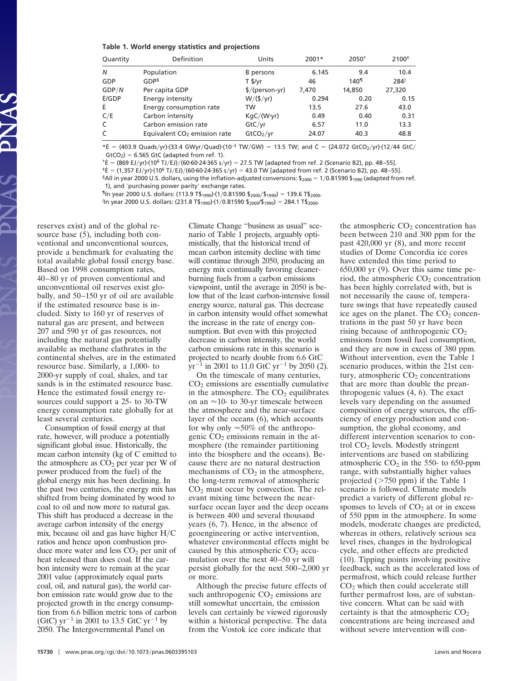#### **Table 1. World energy statistics and projections**

| Quantity                | Definition                               | Units                     | $2001*$ | $2050^{+}$       | 2100 <sup>#</sup> |
|-------------------------|------------------------------------------|---------------------------|---------|------------------|-------------------|
| Ν                       | Population                               | B persons                 | 6.145   | 9.4              | 10.4              |
| GDP                     | GDP <sup>§</sup>                         | $T$ \$/yr                 | 46      | 140 <sup>1</sup> | 284               |
| GDP/N                   | Per capita GDP                           | $\frac{1}{2}$ (person-yr) | 7.470   | 14,850           | 27,320            |
| Ė/GDP                   | Energy intensity                         | W/(5/yr)                  | 0.294   | 0.20             | 0.15              |
| Ė                       | Energy consumption rate                  | TW                        | 13.5    | 27.6             | 43.0              |
| $\mathsf{C}/\mathsf{E}$ | Carbon intensity                         | $KqC/(W\cdot yr)$         | 0.49    | 0.40             | 0.31              |
| Ċ                       | Carbon emission rate                     | GtC/vr                    | 6.57    | 11.0             | 13.3              |
| Ċ                       | Equivalent CO <sub>2</sub> emission rate | GtCO <sub>2</sub> /yr     | 24.07   | 40.3             | 48.8              |
|                         |                                          |                           |         |                  |                   |

 $*E = (403.9 \text{ Quads/yr})(33.4 \text{ GWyr}/\text{Quad}) \cdot (10^{-3} \text{ TW/GW}) = 13.5 \text{ TW}$ ; and  $\dot{C} = (24.072 \text{ GtCO}_2/\text{yr}) \cdot (12/44 \text{ GtC})$  $GtCO<sub>2</sub> = 6.565 GtC$  (adapted from ref. 1).

 $\hat{E} = (869 \text{ EJ/yr}) \cdot (10^6 \text{ TJ/EJ})/(60 \cdot 60 \cdot 24 \cdot 365 \text{ s/yr}) = 27.5 \text{ TW}$  [adapted from ref. 2 (Scenario B2), pp. 48–55].

 $E^{\dagger}E = (1,357 \text{ EJ/yr})\cdot (10^6 \text{ TJ/EJ})/(60 \cdot 60 \cdot 24 \cdot 365 \text{ s/yr}) = 43.0 \text{ TW}$  [adapted from ref. 2 (Scenario B2), pp. 48-55].

§All in year 2000 U.S. dollars, using the inflation-adjusted conversions: \$2000 = 1/0.81590 \$1990 (adapted from ref.

1), and 'purchasing power parity' exchange rates.

 $\P$ In year 2000 U.S. dollars: (113.9 T\$<sub>1990</sub>)·(1/0.81590 \$<sub>2000</sub>/\$<sub>1990</sub>) = 139.6 T\$<sub>2000</sub>.

- In year 2000 U.S. dollars: (231.8 T\$1990)(10.81590 \$2000/\$1990) 284.1 T\$2000.

reserves exist) and of the global resource base (5), including both conventional and unconventional sources, provide a benchmark for evaluating the total available global fossil energy base. Based on 1998 consumption rates, 40–80 yr of proven conventional and unconventional oil reserves exist globally, and 50–150 yr of oil are available if the estimated resource base is included. Sixty to 160 yr of reserves of natural gas are present, and between 207 and 590 yr of gas resources, not including the natural gas potentially available as methane clathrates in the continental shelves, are in the estimated resource base. Similarly, a 1,000- to 2000-yr supply of coal, shales, and tar sands is in the estimated resource base. Hence the estimated fossil energy resources could support a 25- to 30-TW energy consumption rate globally for at least several centuries.

Consumption of fossil energy at that rate, however, will produce a potentially significant global issue. Historically, the mean carbon intensity (kg of C emitted to the atmosphere as  $CO<sub>2</sub>$  per year per W of power produced from the fuel) of the global energy mix has been declining. In the past two centuries, the energy mix has shifted from being dominated by wood to coal to oil and now more to natural gas. This shift has produced a decrease in the average carbon intensity of the energy mix, because oil and gas have higher  $H/C$ ratios and hence upon combustion produce more water and less  $CO<sub>2</sub>$  per unit of heat released than does coal. If the carbon intensity were to remain at the year 2001 value (approximately equal parts coal, oil, and natural gas), the world carbon emission rate would grow due to the projected growth in the energy consumption from 6.6 billion metric tons of carbon (GtC)  $yr^{-1}$  in 2001 to 13.5 GtC  $yr^{-1}$  by 2050. The Intergovernmental Panel on

Climate Change ''business as usual'' scenario of Table 1 projects, arguably optimistically, that the historical trend of mean carbon intensity decline with time will continue through 2050, producing an energy mix continually favoring cleanerburning fuels from a carbon emissions viewpoint, until the average in 2050 is below that of the least carbon-intensive fossil energy source, natural gas. This decrease in carbon intensity would offset somewhat the increase in the rate of energy consumption. But even with this projected decrease in carbon intensity, the world carbon emissions rate in this scenario is projected to nearly double from 6.6 GtC  $yr^{-1}$  in 2001 to 11.0 GtC yr<sup>-1</sup> by 2050 (2).

On the timescale of many centuries,  $CO<sub>2</sub>$  emissions are essentially cumulative in the atmosphere. The  $CO<sub>2</sub>$  equilibrates on an  $\approx$ 10- to 30-yr timescale between the atmosphere and the near-surface layer of the oceans (6), which accounts for why only  $\approx$  50% of the anthropogenic  $CO<sub>2</sub>$  emissions remain in the atmosphere (the remainder partitioning into the biosphere and the oceans). Because there are no natural destruction mechanisms of  $CO<sub>2</sub>$  in the atmosphere, the long-term removal of atmospheric  $CO<sub>2</sub>$  must occur by convection. The relevant mixing time between the nearsurface ocean layer and the deep oceans is between 400 and several thousand years (6, 7). Hence, in the absence of geoengineering or active intervention, whatever environmental effects might be caused by this atmospheric  $CO<sub>2</sub>$  accumulation over the next 40–50 yr will persist globally for the next 500–2,000 yr or more.

Although the precise future effects of such anthropogenic  $CO<sub>2</sub>$  emissions are still somewhat uncertain, the emission levels can certainly be viewed rigorously within a historical perspective. The data from the Vostok ice core indicate that

the atmospheric  $CO<sub>2</sub>$  concentration has been between 210 and 300 ppm for the past 420,000 yr (8), and more recent studies of Dome Concordia ice cores have extended this time period to 650,000 yr (9). Over this same time period, the atmospheric  $CO<sub>2</sub>$  concentration has been highly correlated with, but is not necessarily the cause of, temperature swings that have repeatedly caused ice ages on the planet. The  $CO<sub>2</sub>$  concentrations in the past 50 yr have been rising because of anthropogenic CO<sub>2</sub> emissions from fossil fuel consumption, and they are now in excess of 380 ppm. Without intervention, even the Table 1 scenario produces, within the 21st century, atmospheric CO<sub>2</sub> concentrations that are more than double the preanthropogenic values (4, 6). The exact levels vary depending on the assumed composition of energy sources, the efficiency of energy production and consumption, the global economy, and different intervention scenarios to control CO2 levels. Modestly stringent interventions are based on stabilizing atmospheric  $CO<sub>2</sub>$  in the 550- to 650-ppm range, with substantially higher values projected  $($ >750 ppm) if the Table 1 scenario is followed. Climate models predict a variety of different global responses to levels of  $CO<sub>2</sub>$  at or in excess of 550 ppm in the atmosphere. In some models, moderate changes are predicted, whereas in others, relatively serious sea level rises, changes in the hydrological cycle, and other effects are predicted (10). Tipping points involving positive feedback, such as the accelerated loss of permafrost, which could release further  $CO<sub>2</sub>$  which then could accelerate still further permafrost loss, are of substantive concern. What can be said with certainty is that the atmospheric  $CO<sub>2</sub>$ concentrations are being increased and without severe intervention will con-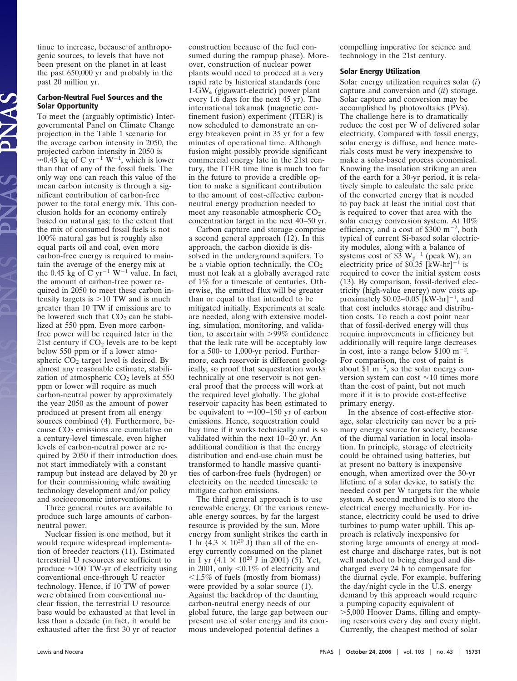tinue to increase, because of anthropogenic sources, to levels that have not been present on the planet in at least the past 650,000 yr and probably in the past 20 million yr.

# **Carbon-Neutral Fuel Sources and the Solar Opportunity**

To meet the (arguably optimistic) Intergovernmental Panel on Climate Change projection in the Table 1 scenario for the average carbon intensity in 2050, the projected carbon intensity in 2050 is  $\approx 0.45$  kg of C yr<sup>-1</sup> W<sup>-1</sup>, which is lower than that of any of the fossil fuels. The only way one can reach this value of the mean carbon intensity is through a significant contribution of carbon-free power to the total energy mix. This conclusion holds for an economy entirely based on natural gas; to the extent that the mix of consumed fossil fuels is not 100% natural gas but is roughly also equal parts oil and coal, even more carbon-free energy is required to maintain the average of the energy mix at the 0.45 kg of C yr<sup>-1</sup> W<sup>-1</sup> value. In fact, the amount of carbon-free power required in 2050 to meet these carbon intensity targets is  $>10$  TW and is much greater than 10 TW if emissions are to be lowered such that  $CO<sub>2</sub>$  can be stabilized at 550 ppm. Even more carbonfree power will be required later in the 21st century if  $CO<sub>2</sub>$  levels are to be kept below 550 ppm or if a lower atmospheric  $CO<sub>2</sub>$  target level is desired. By almost any reasonable estimate, stabilization of atmospheric  $CO<sub>2</sub>$  levels at 550 ppm or lower will require as much carbon-neutral power by approximately the year 2050 as the amount of power produced at present from all energy sources combined (4). Furthermore, because CO<sub>2</sub> emissions are cumulative on a century-level timescale, even higher levels of carbon-neutral power are required by 2050 if their introduction does not start immediately with a constant rampup but instead are delayed by 20 yr for their commissioning while awaiting technology development and/or policy and socioeconomic interventions.

Three general routes are available to produce such large amounts of carbonneutral power.

Nuclear fission is one method, but it would require widespread implementation of breeder reactors (11). Estimated terrestrial U resources are sufficient to produce  $\approx$ 100 TW-yr of electricity using conventional once-through U reactor technology. Hence, if 10 TW of power were obtained from conventional nuclear fission, the terrestrial U resource base would be exhausted at that level in less than a decade (in fact, it would be exhausted after the first 30 yr of reactor construction because of the fuel consumed during the rampup phase). Moreover, construction of nuclear power plants would need to proceed at a very rapid rate by historical standards (one 1-GWe (gigawatt-electric) power plant every 1.6 days for the next 45 yr). The international tokamak (magnetic confinement fusion) experiment (ITER) is now scheduled to demonstrate an energy breakeven point in 35 yr for a few minutes of operational time. Although fusion might possibly provide significant commercial energy late in the 21st century, the ITER time line is much too far in the future to provide a credible option to make a significant contribution to the amount of cost-effective carbonneutral energy production needed to meet any reasonable atmospheric  $CO<sub>2</sub>$ concentration target in the next 40–50 yr.

Carbon capture and storage comprise a second general approach (12). In this approach, the carbon dioxide is dissolved in the underground aquifers. To be a viable option technically, the  $CO<sub>2</sub>$ must not leak at a globally averaged rate of 1% for a timescale of centuries. Otherwise, the emitted flux will be greater than or equal to that intended to be mitigated initially. Experiments at scale are needed, along with extensive modeling, simulation, monitoring, and validation, to ascertain with 99% confidence that the leak rate will be acceptably low for a 500- to 1,000-yr period. Furthermore, each reservoir is different geologically, so proof that sequestration works technically at one reservoir is not general proof that the process will work at the required level globally. The global reservoir capacity has been estimated to be equivalent to  $\approx$  100–150 yr of carbon emissions. Hence, sequestration could buy time if it works technically and is so validated within the next 10–20 yr. An additional condition is that the energy distribution and end-use chain must be transformed to handle massive quantities of carbon-free fuels (hydrogen) or electricity on the needed timescale to mitigate carbon emissions.

The third general approach is to use renewable energy. Of the various renewable energy sources, by far the largest resource is provided by the sun. More energy from sunlight strikes the earth in 1 hr  $(4.3 \times 10^{20} \text{ J})$  than all of the energy currently consumed on the planet in 1 yr  $(4.1 \times 10^{20} \text{ J} \text{ in } 2001)$  (5). Yet, in 2001, only  $\leq 0.1\%$  of electricity and  $1.5\%$  of fuels (mostly from biomass) were provided by a solar source  $(1)$ . Against the backdrop of the daunting carbon-neutral energy needs of our global future, the large gap between our present use of solar energy and its enormous undeveloped potential defines a

compelling imperative for science and technology in the 21st century.

# **Solar Energy Utilization**

Solar energy utilization requires solar (*i*) capture and conversion and (*ii*) storage. Solar capture and conversion may be accomplished by photovoltaics (PVs). The challenge here is to dramatically reduce the cost per W of delivered solar electricity. Compared with fossil energy, solar energy is diffuse, and hence materials costs must be very inexpensive to make a solar-based process economical. Knowing the insolation striking an area of the earth for a 30-yr period, it is relatively simple to calculate the sale price of the converted energy that is needed to pay back at least the initial cost that is required to cover that area with the solar energy conversion system. At 10% efficiency, and a cost of  $$300 \text{ m}^{-2}$ , both typical of current Si-based solar electricity modules, along with a balance of systems cost of  $$3 \text{ W}_p^{-1}$  (peak W), an electricity price of  $$0.35$  [kW-hr]<sup>-1</sup> is required to cover the initial system costs (13). By comparison, fossil-derived electricity (high-value energy) now costs approximately  $$0.02-0.05$  [kW-hr]<sup>-1</sup>, and that cost includes storage and distribution costs. To reach a cost point near that of fossil-derived energy will thus require improvements in efficiency but additionally will require large decreases in cost, into a range below  $$100 \text{ m}^{-2}$ . For comparison, the cost of paint is about \$1 m<sup>-2</sup>, so the solar energy conversion system can cost  $\approx$ 10 times more than the cost of paint, but not much more if it is to provide cost-effective primary energy.

In the absence of cost-effective storage, solar electricity can never be a primary energy source for society, because of the diurnal variation in local insolation. In principle, storage of electricity could be obtained using batteries, but at present no battery is inexpensive enough, when amortized over the 30-yr lifetime of a solar device, to satisfy the needed cost per W targets for the whole system. A second method is to store the electrical energy mechanically. For instance, electricity could be used to drive turbines to pump water uphill. This approach is relatively inexpensive for storing large amounts of energy at modest charge and discharge rates, but is not well matched to being charged and discharged every 24 h to compensate for the diurnal cycle. For example, buffering the day/night cycle in the U.S. energy demand by this approach would require a pumping capacity equivalent of 5,000 Hoover Dams, filling and emptying reservoirs every day and every night. Currently, the cheapest method of solar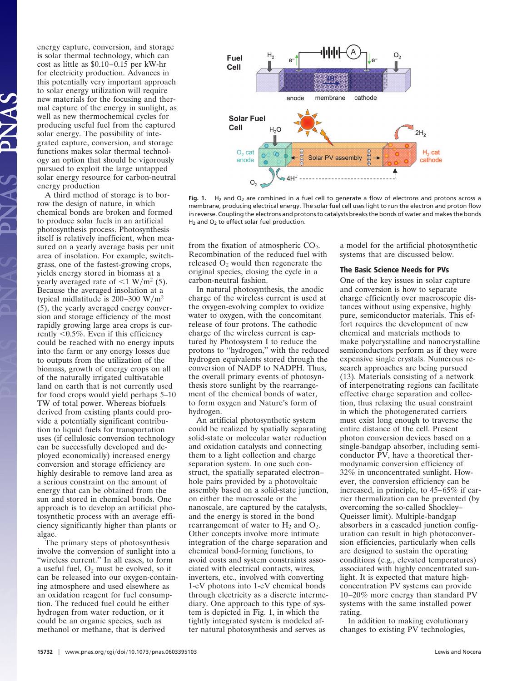energy capture, conversion, and storage is solar thermal technology, which can cost as little as \$0.10–0.15 per kW-hr for electricity production. Advances in this potentially very important approach to solar energy utilization will require new materials for the focusing and thermal capture of the energy in sunlight, as well as new thermochemical cycles for producing useful fuel from the captured solar energy. The possibility of integrated capture, conversion, and storage functions makes solar thermal technology an option that should be vigorously pursued to exploit the large untapped solar energy resource for carbon-neutral energy production

A third method of storage is to borrow the design of nature, in which chemical bonds are broken and formed to produce solar fuels in an artificial photosynthesis process. Photosynthesis itself is relatively inefficient, when measured on a yearly average basis per unit area of insolation. For example, switchgrass, one of the fastest-growing crops, yields energy stored in biomass at a yearly averaged rate of  $\leq 1$  W/m<sup>2</sup> (5). Because the averaged insolation at a typical midlatitude is  $200-300$  W/m<sup>2</sup> (5), the yearly averaged energy conversion and storage efficiency of the most rapidly growing large area crops is currently  $0.5\%$ . Even if this efficiency could be reached with no energy inputs into the farm or any energy losses due to outputs from the utilization of the biomass, growth of energy crops on all of the naturally irrigated cultivatable land on earth that is not currently used for food crops would yield perhaps 5–10 TW of total power. Whereas biofuels derived from existing plants could provide a potentially significant contribution to liquid fuels for transportation uses (if cellulosic conversion technology can be successfully developed and deployed economically) increased energy conversion and storage efficiency are highly desirable to remove land area as a serious constraint on the amount of energy that can be obtained from the sun and stored in chemical bonds. One approach is to develop an artificial photosynthetic process with an average efficiency significantly higher than plants or algae.

The primary steps of photosynthesis involve the conversion of sunlight into a "wireless current." In all cases, to form a useful fuel,  $O_2$  must be evolved, so it can be released into our oxygen-containing atmosphere and used elsewhere as an oxidation reagent for fuel consumption. The reduced fuel could be either hydrogen from water reduction, or it could be an organic species, such as methanol or methane, that is derived



Fig. 1. H<sub>2</sub> and O<sub>2</sub> are combined in a fuel cell to generate a flow of electrons and protons across a membrane, producing electrical energy. The solar fuel cell uses light to run the electron and proton flow in reverse. Coupling the electrons and protons to catalysts breaks the bonds of water and makes the bonds H<sub>2</sub> and O<sub>2</sub> to effect solar fuel production.

from the fixation of atmospheric  $CO<sub>2</sub>$ . Recombination of the reduced fuel with released  $O<sub>2</sub>$  would then regenerate the original species, closing the cycle in a carbon-neutral fashion.

In natural photosynthesis, the anodic charge of the wireless current is used at the oxygen-evolving complex to oxidize water to oxygen, with the concomitant release of four protons. The cathodic charge of the wireless current is captured by Photosystem I to reduce the protons to ''hydrogen,'' with the reduced hydrogen equivalents stored through the conversion of NADP to NADPH. Thus, the overall primary events of photosynthesis store sunlight by the rearrangement of the chemical bonds of water, to form oxygen and Nature's form of hydrogen.

An artificial photosynthetic system could be realized by spatially separating solid-state or molecular water reduction and oxidation catalysts and connecting them to a light collection and charge separation system. In one such construct, the spatially separated electron– hole pairs provided by a photovoltaic assembly based on a solid-state junction, on either the macroscale or the nanoscale, are captured by the catalysts, and the energy is stored in the bond rearrangement of water to  $H_2$  and  $O_2$ . Other concepts involve more intimate integration of the charge separation and chemical bond-forming functions, to avoid costs and system constraints associated with electrical contacts, wires, inverters, etc., involved with converting 1-eV photons into 1-eV chemical bonds through electricity as a discrete intermediary. One approach to this type of system is depicted in Fig. 1, in which the tightly integrated system is modeled after natural photosynthesis and serves as

a model for the artificial photosynthetic systems that are discussed below.

### **The Basic Science Needs for PVs**

One of the key issues in solar capture and conversion is how to separate charge efficiently over macroscopic distances without using expensive, highly pure, semiconductor materials. This effort requires the development of new chemical and materials methods to make polycrystalline and nanocrystalline semiconductors perform as if they were expensive single crystals. Numerous research approaches are being pursued (13). Materials consisting of a network of interpenetrating regions can facilitate effective charge separation and collection, thus relaxing the usual constraint in which the photogenerated carriers must exist long enough to traverse the entire distance of the cell. Present photon conversion devices based on a single-bandgap absorber, including semiconductor PV, have a theoretical thermodynamic conversion efficiency of 32% in unconcentrated sunlight. However, the conversion efficiency can be increased, in principle, to 45–65% if carrier thermalization can be prevented (by overcoming the so-called Shockley– Queisser limit). Multiple-bandgap absorbers in a cascaded junction configuration can result in high photoconversion efficiencies, particularly when cells are designed to sustain the operating conditions (e.g., elevated temperatures) associated with highly concentrated sunlight. It is expected that mature highconcentration PV systems can provide 10–20% more energy than standard PV systems with the same installed power rating.

In addition to making evolutionary changes to existing PV technologies,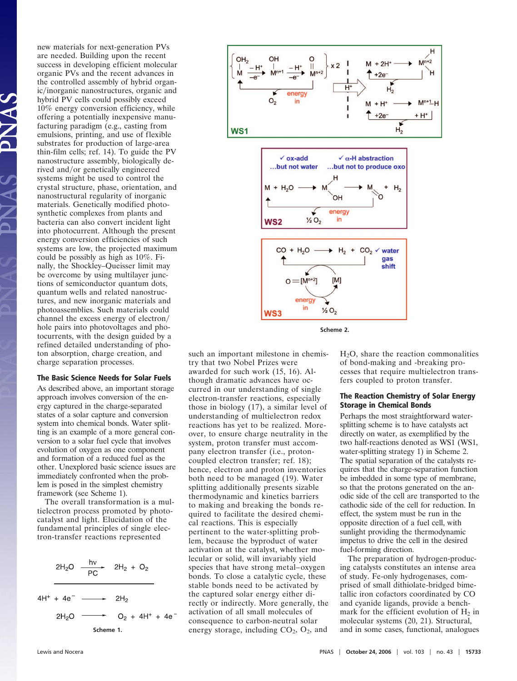new materials for next-generation PVs are needed. Building upon the recent success in developing efficient molecular organic PVs and the recent advances in the controlled assembly of hybrid organic/inorganic nanostructures, organic and hybrid PV cells could possibly exceed 10% energy conversion efficiency, while offering a potentially inexpensive manufacturing paradigm (e.g., casting from emulsions, printing, and use of flexible substrates for production of large-area thin-film cells; ref. 14). To guide the PV nanostructure assembly, biologically derived and/or genetically engineered systems might be used to control the crystal structure, phase, orientation, and nanostructural regularity of inorganic materials. Genetically modified photosynthetic complexes from plants and bacteria can also convert incident light into photocurrent. Although the present energy conversion efficiencies of such systems are low, the projected maximum could be possibly as high as 10%. Finally, the Shockley–Queisser limit may be overcome by using multilayer junctions of semiconductor quantum dots, quantum wells and related nanostructures, and new inorganic materials and photoassemblies. Such materials could channel the excess energy of electron hole pairs into photovoltages and photocurrents, with the design guided by a refined detailed understanding of photon absorption, charge creation, and charge separation processes.

## **The Basic Science Needs for Solar Fuels**

As described above, an important storage approach involves conversion of the energy captured in the charge-separated states of a solar capture and conversion system into chemical bonds. Water splitting is an example of a more general conversion to a solar fuel cycle that involves evolution of oxygen as one component and formation of a reduced fuel as the other. Unexplored basic science issues are immediately confronted when the problem is posed in the simplest chemistry framework (see Scheme 1).

The overall transformation is a multielectron process promoted by photocatalyst and light. Elucidation of the fundamental principles of single electron-transfer reactions represented







such an important milestone in chemistry that two Nobel Prizes were awarded for such work (15, 16). Although dramatic advances have occurred in our understanding of single electron-transfer reactions, especially those in biology (17), a similar level of understanding of multielectron redox reactions has yet to be realized. Moreover, to ensure charge neutrality in the system, proton transfer must accompany electron transfer (i.e., protoncoupled electron transfer; ref. 18); hence, electron and proton inventories both need to be managed (19). Water splitting additionally presents sizable thermodynamic and kinetics barriers to making and breaking the bonds required to facilitate the desired chemical reactions. This is especially pertinent to the water-splitting problem, because the byproduct of water activation at the catalyst, whether molecular or solid, will invariably yield species that have strong metal–oxygen bonds. To close a catalytic cycle, these stable bonds need to be activated by the captured solar energy either directly or indirectly. More generally, the activation of all small molecules of consequence to carbon-neutral solar energy storage, including  $CO<sub>2</sub>$ ,  $O<sub>2</sub>$ , and

H2O, share the reaction commonalities of bond-making and -breaking processes that require multielectron transfers coupled to proton transfer.

## **The Reaction Chemistry of Solar Energy Storage in Chemical Bonds**

Perhaps the most straightforward watersplitting scheme is to have catalysts act directly on water, as exemplified by the two half-reactions denoted as WS1 (WS1, water-splitting strategy 1) in Scheme 2. The spatial separation of the catalysts requires that the charge-separation function be imbedded in some type of membrane, so that the protons generated on the anodic side of the cell are transported to the cathodic side of the cell for reduction. In effect, the system must be run in the opposite direction of a fuel cell, with sunlight providing the thermodynamic impetus to drive the cell in the desired fuel-forming direction.

The preparation of hydrogen-producing catalysts constitutes an intense area of study. Fe-only hydrogenases, comprised of small dithiolate-bridged bimetallic iron cofactors coordinated by CO and cyanide ligands, provide a benchmark for the efficient evolution of  $H_2$  in molecular systems (20, 21). Structural, **Scheme 1. Scheme 1. Scheme 1. and in some cases, functional, analogues**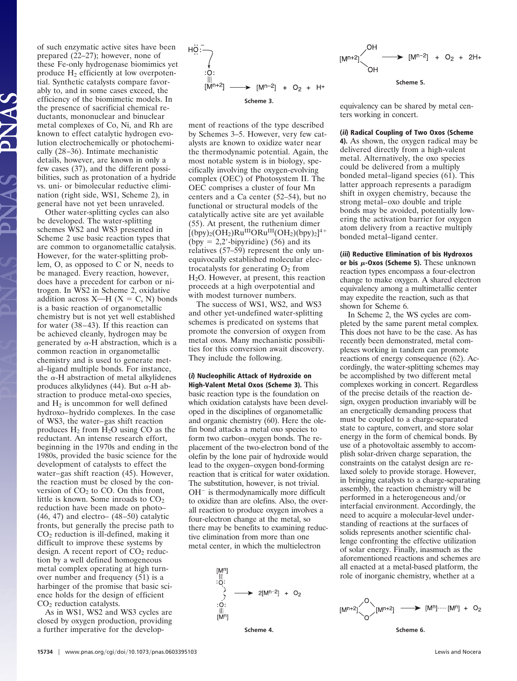of such enzymatic active sites have been prepared (22–27); however, none of these Fe-only hydrogenase biomimics yet produce  $H_2$  efficiently at low overpotential. Synthetic catalysts compare favorably to, and in some cases exceed, the efficiency of the biomimetic models. In the presence of sacrificial chemical reductants, mononuclear and binuclear metal complexes of Co, Ni, and Rh are known to effect catalytic hydrogen evolution electrochemically or photochemically (28–36). Intimate mechanistic details, however, are known in only a few cases (37), and the different possibilities, such as protonation of a hydride vs. uni- or bimolecular reductive elimination (right side, WS1, Scheme 2), in general have not yet been unraveled.

Other water-splitting cycles can also be developed. The water-splitting schemes WS2 and WS3 presented in Scheme 2 use basic reaction types that are common to organometallic catalysis. However, for the water-splitting problem, O, as opposed to C or N, needs to be managed. Every reaction, however, does have a precedent for carbon or nitrogen. In WS2 in Scheme 2, oxidative addition across  $X-H$  ( $X = C$ , N) bonds is a basic reaction of organometallic chemistry but is not yet well established for water (38–43). If this reaction can be achieved cleanly, hydrogen may be generated by  $\alpha$ -H abstraction, which is a common reaction in organometallic chemistry and is used to generate metal–ligand multiple bonds. For instance, the  $\alpha$ -H abstraction of metal alkylidenes produces alkylidynes (44). But  $\alpha$ -H abstraction to produce metal-oxo species, and  $H_2$  is uncommon for well defined hydroxo–hydrido complexes. In the case of WS3, the water–gas shift reaction produces  $H_2$  from  $H_2O$  using CO as the reductant. An intense research effort, beginning in the 1970s and ending in the 1980s, provided the basic science for the development of catalysts to effect the water–gas shift reaction (45). However, the reaction must be closed by the conversion of  $CO<sub>2</sub>$  to CO. On this front, little is known. Some inroads to  $CO<sub>2</sub>$ reduction have been made on photo– (46, 47) and electro– (48–50) catalytic fronts, but generally the precise path to  $CO<sub>2</sub>$  reduction is ill-defined, making it difficult to improve these systems by design. A recent report of  $CO<sub>2</sub>$  reduction by a well defined homogeneous metal complex operating at high turnover number and frequency (51) is a harbinger of the promise that basic science holds for the design of efficient CO<sub>2</sub> reduction catalysts.

As in WS1, WS2 and WS3 cycles are closed by oxygen production, providing a further imperative for the develop-



ment of reactions of the type described by Schemes 3–5. However, very few catalysts are known to oxidize water near the thermodynamic potential. Again, the most notable system is in biology, specifically involving the oxygen-evolving complex (OEC) of Photosystem II. The OEC comprises a cluster of four Mn centers and a Ca center (52–54), but no functional or structural models of the catalytically active site are yet available (55). At present, the ruthenium dimer  $[(bpy)_2(OH_2)Ru^{III}ORu^{III}(OH_2)(bpy)_2]^{4+}$ (bpy  $= 2.2'$ -bipyridine) (56) and its relatives (57–59) represent the only unequivocally established molecular electrocatalysts for generating  $O_2$  from H2O. However, at present, this reaction proceeds at a high overpotential and with modest turnover numbers.

The success of WS1, WS2, and WS3 and other yet-undefined water-splitting schemes is predicated on systems that promote the conversion of oxygen from metal oxos. Many mechanistic possibilities for this conversion await discovery. They include the following.

**(i) Nucleophilic Attack of Hydroxide on High-Valent Metal Oxos (Scheme 3).** This basic reaction type is the foundation on which oxidation catalysts have been developed in the disciplines of organometallic and organic chemistry (60). Here the olefin bond attacks a metal oxo species to form two carbon–oxygen bonds. The replacement of the two-electron bond of the olefin by the lone pair of hydroxide would lead to the oxygen–oxygen bond-forming reaction that is critical for water oxidation. The substitution, however, is not trivial.  $OH^-$  is thermodynamically more difficult to oxidize than are olefins. Also, the overall reaction to produce oxygen involves a four-electron change at the metal, so there may be benefits to examining reductive elimination from more than one metal center, in which the multielectron



**Scheme 4.**



equivalency can be shared by metal centers working in concert.

#### **(ii) Radical Coupling of Two Oxos (Scheme**

**4).** As shown, the oxygen radical may be delivered directly from a high-valent metal. Alternatively, the oxo species could be delivered from a multiply bonded metal–ligand species (61). This latter approach represents a paradigm shift in oxygen chemistry, because the strong metal–oxo double and triple bonds may be avoided, potentially lowering the activation barrier for oxygen atom delivery from a reactive multiply bonded metal–ligand center.

**(iii) Reductive Elimination of bis Hydroxos or bis -Oxos (Scheme 5).** These unknown reaction types encompass a four-electron change to make oxygen. A shared electron equivalency among a multimetallic center may expedite the reaction, such as that shown for Scheme 6.

In Scheme 2, the WS cycles are completed by the same parent metal complex. This does not have to be the case. As has recently been demonstrated, metal complexes working in tandem can promote reactions of energy consequence (62). Accordingly, the water-splitting schemes may be accomplished by two different metal complexes working in concert. Regardless of the precise details of the reaction design, oxygen production invariably will be an energetically demanding process that must be coupled to a charge-separated state to capture, convert, and store solar energy in the form of chemical bonds. By use of a photovoltaic assembly to accomplish solar-driven charge separation, the constraints on the catalyst design are relaxed solely to provide storage. However, in bringing catalysts to a charge-separating assembly, the reaction chemistry will be performed in a heterogeneous and/or interfacial environment. Accordingly, the need to acquire a molecular-level understanding of reactions at the surfaces of solids represents another scientific challenge confronting the effective utilization of solar energy. Finally, inasmuch as the aforementioned reactions and schemes are all enacted at a metal-based platform, the role of inorganic chemistry, whether at a

![](_page_6_Figure_15.jpeg)